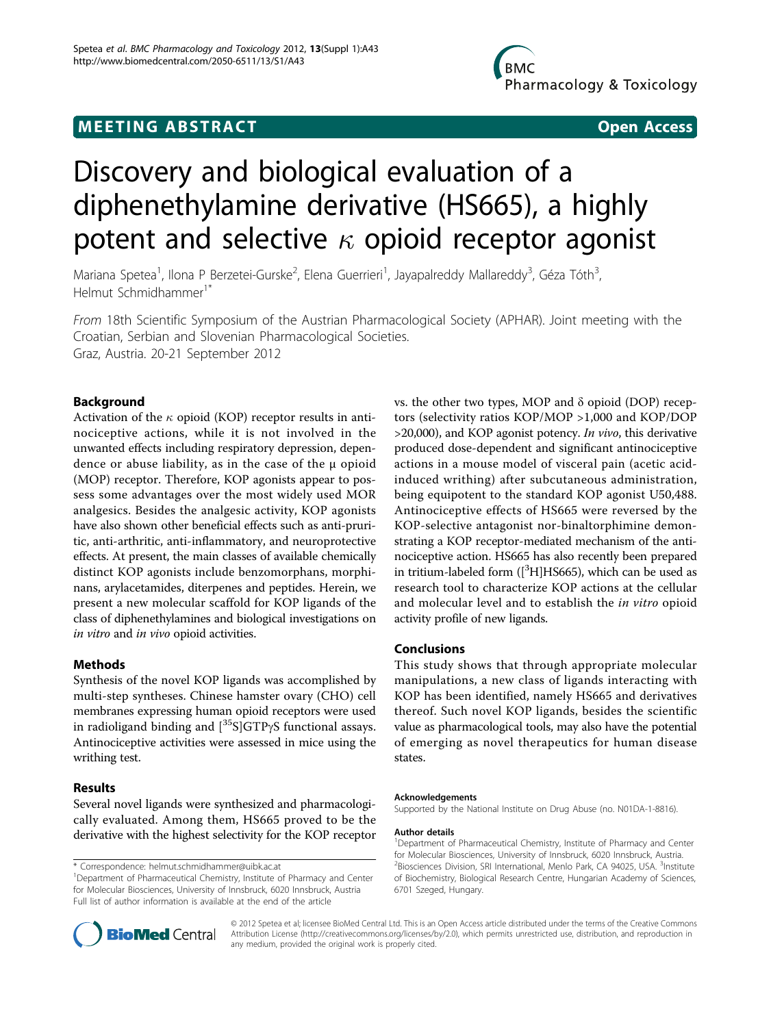## **MEETING ABSTRACT CONSUMING ABSTRACT**

# Discovery and biological evaluation of a diphenethylamine derivative (HS665), a highly potent and selective  $\kappa$  opioid receptor agonist

Mariana Spetea<sup>1</sup>, Ilona P Berzetei-Gurske<sup>2</sup>, Elena Guerrieri<sup>1</sup>, Jayapalreddy Mallareddy<sup>3</sup>, Géza Tóth<sup>3</sup> , Helmut Schmidhammer<sup>1\*</sup>

From 18th Scientific Symposium of the Austrian Pharmacological Society (APHAR). Joint meeting with the Croatian, Serbian and Slovenian Pharmacological Societies. Graz, Austria. 20-21 September 2012

### Background

Activation of the  $\kappa$  opioid (KOP) receptor results in antinociceptive actions, while it is not involved in the unwanted effects including respiratory depression, dependence or abuse liability, as in the case of the  $\mu$  opioid (MOP) receptor. Therefore, KOP agonists appear to possess some advantages over the most widely used MOR analgesics. Besides the analgesic activity, KOP agonists have also shown other beneficial effects such as anti-pruritic, anti-arthritic, anti-inflammatory, and neuroprotective effects. At present, the main classes of available chemically distinct KOP agonists include benzomorphans, morphinans, arylacetamides, diterpenes and peptides. Herein, we present a new molecular scaffold for KOP ligands of the class of diphenethylamines and biological investigations on in vitro and in vivo opioid activities.

### Methods

Synthesis of the novel KOP ligands was accomplished by multi-step syntheses. Chinese hamster ovary (CHO) cell membranes expressing human opioid receptors were used in radioligand binding and  $[^{35}S]GTP\gamma S$  functional assays. Antinociceptive activities were assessed in mice using the writhing test.

#### Results

Several novel ligands were synthesized and pharmacologically evaluated. Among them, HS665 proved to be the derivative with the highest selectivity for the KOP receptor

\* Correspondence: [helmut.schmidhammer@uibk.ac.at](mailto:helmut.schmidhammer@uibk.ac.at)

vs. the other two types, MOP and δ opioid (DOP) receptors (selectivity ratios KOP/MOP >1,000 and KOP/DOP  $>$ 20,000), and KOP agonist potency. In vivo, this derivative produced dose-dependent and significant antinociceptive actions in a mouse model of visceral pain (acetic acidinduced writhing) after subcutaneous administration, being equipotent to the standard KOP agonist U50,488. Antinociceptive effects of HS665 were reversed by the KOP-selective antagonist nor-binaltorphimine demonstrating a KOP receptor-mediated mechanism of the antinociceptive action. HS665 has also recently been prepared in tritium-labeled form  $([{}^{3}H]$ HS665), which can be used as research tool to characterize KOP actions at the cellular and molecular level and to establish the in vitro opioid activity profile of new ligands.

#### Conclusions

This study shows that through appropriate molecular manipulations, a new class of ligands interacting with KOP has been identified, namely HS665 and derivatives thereof. Such novel KOP ligands, besides the scientific value as pharmacological tools, may also have the potential of emerging as novel therapeutics for human disease states.

#### Acknowledgements

Supported by the National Institute on Drug Abuse (no. N01DA-1-8816).

#### Author details

<sup>1</sup>Department of Pharmaceutical Chemistry, Institute of Pharmacy and Center for Molecular Biosciences, University of Innsbruck, 6020 Innsbruck, Austria. <sup>2</sup>Biosciences Division, SRI International, Menlo Park, CA 94025, USA. <sup>3</sup>Institute of Biochemistry, Biological Research Centre, Hungarian Academy of Sciences, 6701 Szeged, Hungary.



© 2012 Spetea et al; licensee BioMed Central Ltd. This is an Open Access article distributed under the terms of the Creative Commons Attribution License [\(http://creativecommons.org/licenses/by/2.0](http://creativecommons.org/licenses/by/2.0)), which permits unrestricted use, distribution, and reproduction in any medium, provided the original work is properly cited.

<sup>&</sup>lt;sup>1</sup>Department of Pharmaceutical Chemistry, Institute of Pharmacy and Center for Molecular Biosciences, University of Innsbruck, 6020 Innsbruck, Austria Full list of author information is available at the end of the article